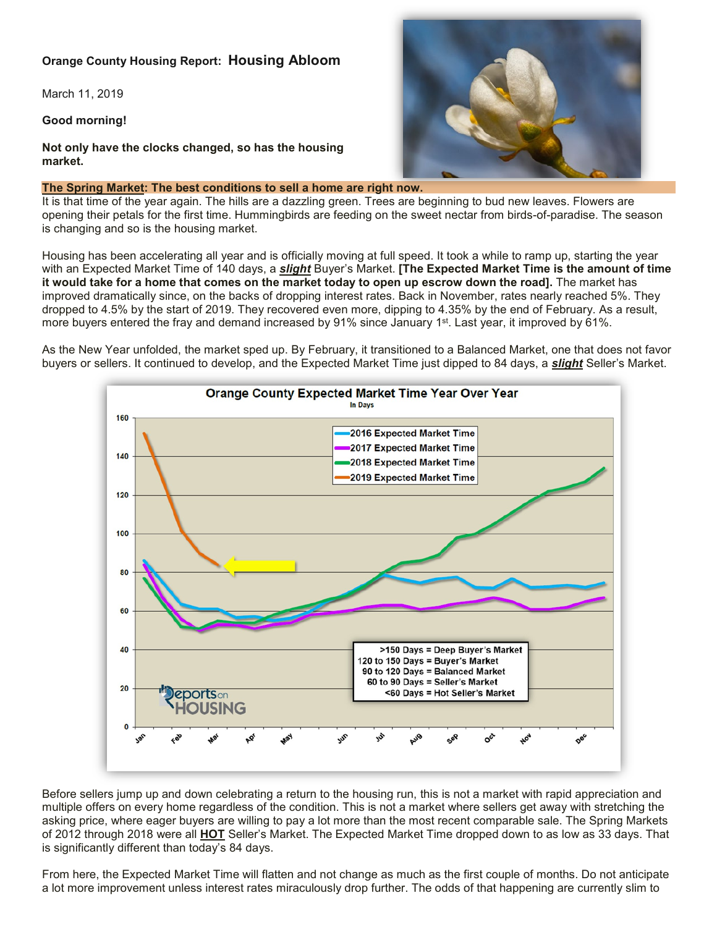# **Orange County Housing Report: Housing Abloom**

March 11, 2019

**Good morning!**

**Not only have the clocks changed, so has the housing market.**

### **The Spring Market: The best conditions to sell a home are right now.**

It is that time of the year again. The hills are a dazzling green. Trees are beginning to bud new leaves. Flowers are opening their petals for the first time. Hummingbirds are feeding on the sweet nectar from birds-of-paradise. The season is changing and so is the housing market.

Housing has been accelerating all year and is officially moving at full speed. It took a while to ramp up, starting the year with an Expected Market Time of 140 days, a *slight* Buyer's Market. **[The Expected Market Time is the amount of time it would take for a home that comes on the market today to open up escrow down the road].** The market has improved dramatically since, on the backs of dropping interest rates. Back in November, rates nearly reached 5%. They dropped to 4.5% by the start of 2019. They recovered even more, dipping to 4.35% by the end of February. As a result, more buyers entered the fray and demand increased by 91% since January 1<sup>st</sup>. Last year, it improved by 61%.

As the New Year unfolded, the market sped up. By February, it transitioned to a Balanced Market, one that does not favor buyers or sellers. It continued to develop, and the Expected Market Time just dipped to 84 days, a *slight* Seller's Market.



Before sellers jump up and down celebrating a return to the housing run, this is not a market with rapid appreciation and multiple offers on every home regardless of the condition. This is not a market where sellers get away with stretching the asking price, where eager buyers are willing to pay a lot more than the most recent comparable sale. The Spring Markets of 2012 through 2018 were all **HOT** Seller's Market. The Expected Market Time dropped down to as low as 33 days. That is significantly different than today's 84 days.

From here, the Expected Market Time will flatten and not change as much as the first couple of months. Do not anticipate a lot more improvement unless interest rates miraculously drop further. The odds of that happening are currently slim to

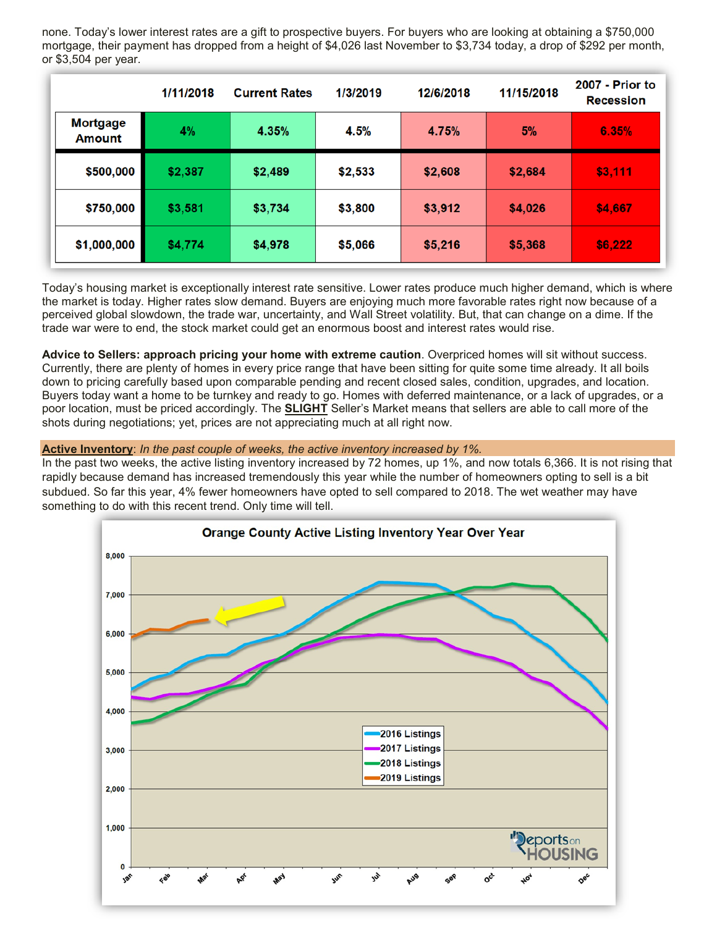none. Today's lower interest rates are a gift to prospective buyers. For buyers who are looking at obtaining a \$750,000 mortgage, their payment has dropped from a height of \$4,026 last November to \$3,734 today, a drop of \$292 per month, or \$3,504 per year.

|                                  | 1/11/2018 | <b>Current Rates</b> | 1/3/2019 | 12/6/2018 | 11/15/2018 | 2007 - Prior to<br><b>Recession</b> |
|----------------------------------|-----------|----------------------|----------|-----------|------------|-------------------------------------|
| <b>Mortgage</b><br><b>Amount</b> | 4%        | 4.35%                | 4.5%     | 4.75%     | 5%         | 6.35%                               |
| \$500,000                        | \$2,387   | \$2,489              | \$2,533  | \$2,608   | \$2,684    | \$3,111                             |
| \$750,000                        | \$3,581   | \$3,734              | \$3,800  | \$3,912   | \$4,026    | \$4,667                             |
| \$1,000,000                      | \$4,774   | \$4,978              | \$5,066  | \$5,216   | \$5,368    | \$6,222                             |

Today's housing market is exceptionally interest rate sensitive. Lower rates produce much higher demand, which is where the market is today. Higher rates slow demand. Buyers are enjoying much more favorable rates right now because of a perceived global slowdown, the trade war, uncertainty, and Wall Street volatility. But, that can change on a dime. If the trade war were to end, the stock market could get an enormous boost and interest rates would rise.

**Advice to Sellers: approach pricing your home with extreme caution**. Overpriced homes will sit without success. Currently, there are plenty of homes in every price range that have been sitting for quite some time already. It all boils down to pricing carefully based upon comparable pending and recent closed sales, condition, upgrades, and location. Buyers today want a home to be turnkey and ready to go. Homes with deferred maintenance, or a lack of upgrades, or a poor location, must be priced accordingly. The **SLIGHT** Seller's Market means that sellers are able to call more of the shots during negotiations; yet, prices are not appreciating much at all right now.

**Active Inventory**: *In the past couple of weeks, the active inventory increased by 1%.*

In the past two weeks, the active listing inventory increased by 72 homes, up 1%, and now totals 6,366. It is not rising that rapidly because demand has increased tremendously this year while the number of homeowners opting to sell is a bit subdued. So far this year, 4% fewer homeowners have opted to sell compared to 2018. The wet weather may have something to do with this recent trend. Only time will tell.

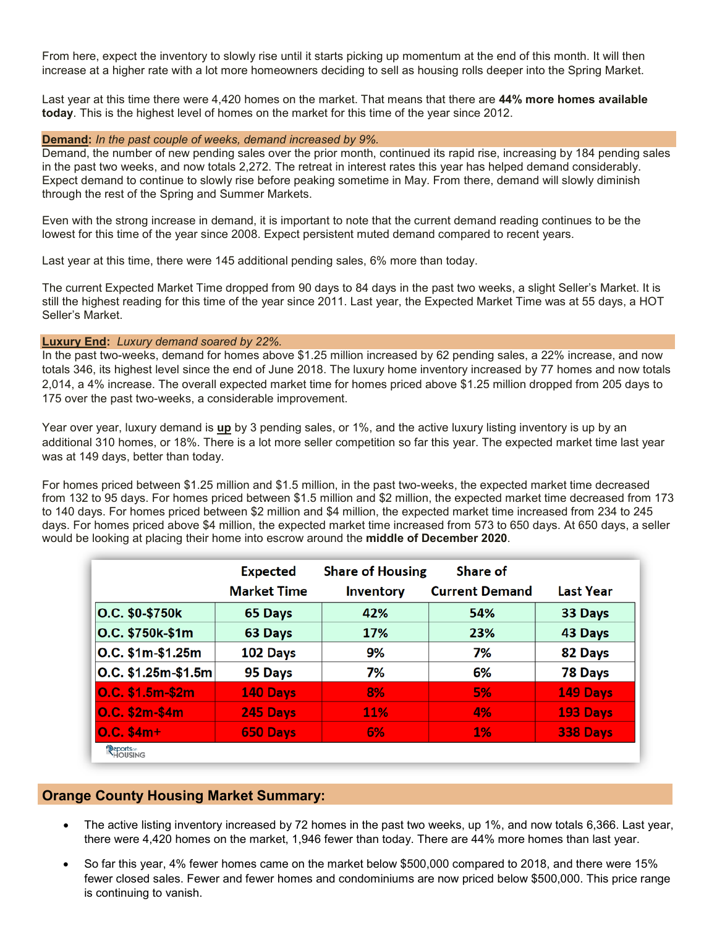From here, expect the inventory to slowly rise until it starts picking up momentum at the end of this month. It will then increase at a higher rate with a lot more homeowners deciding to sell as housing rolls deeper into the Spring Market.

Last year at this time there were 4,420 homes on the market. That means that there are **44% more homes available today**. This is the highest level of homes on the market for this time of the year since 2012.

#### **Demand:** *In the past couple of weeks, demand increased by 9%.*

Demand, the number of new pending sales over the prior month, continued its rapid rise, increasing by 184 pending sales in the past two weeks, and now totals 2,272. The retreat in interest rates this year has helped demand considerably. Expect demand to continue to slowly rise before peaking sometime in May. From there, demand will slowly diminish through the rest of the Spring and Summer Markets.

Even with the strong increase in demand, it is important to note that the current demand reading continues to be the lowest for this time of the year since 2008. Expect persistent muted demand compared to recent years.

Last year at this time, there were 145 additional pending sales, 6% more than today.

The current Expected Market Time dropped from 90 days to 84 days in the past two weeks, a slight Seller's Market. It is still the highest reading for this time of the year since 2011. Last year, the Expected Market Time was at 55 days, a HOT Seller's Market.

#### **Luxury End:** *Luxury demand soared by 22%.*

In the past two-weeks, demand for homes above \$1.25 million increased by 62 pending sales, a 22% increase, and now totals 346, its highest level since the end of June 2018. The luxury home inventory increased by 77 homes and now totals 2,014, a 4% increase. The overall expected market time for homes priced above \$1.25 million dropped from 205 days to 175 over the past two-weeks, a considerable improvement.

Year over year, luxury demand is **up** by 3 pending sales, or 1%, and the active luxury listing inventory is up by an additional 310 homes, or 18%. There is a lot more seller competition so far this year. The expected market time last year was at 149 days, better than today.

For homes priced between \$1.25 million and \$1.5 million, in the past two-weeks, the expected market time decreased from 132 to 95 days. For homes priced between \$1.5 million and \$2 million, the expected market time decreased from 173 to 140 days. For homes priced between \$2 million and \$4 million, the expected market time increased from 234 to 245 days. For homes priced above \$4 million, the expected market time increased from 573 to 650 days. At 650 days, a seller would be looking at placing their home into escrow around the **middle of December 2020**.

|                       | <b>Expected</b>    | <b>Share of Housing</b> | Share of              |                  |
|-----------------------|--------------------|-------------------------|-----------------------|------------------|
|                       | <b>Market Time</b> | <b>Inventory</b>        | <b>Current Demand</b> | <b>Last Year</b> |
| O.C. \$0-\$750k       | 65 Days            | 42%                     | 54%                   | 33 Days          |
| O.C. \$750k-\$1m      | 63 Days            | 17%                     | 23%                   | 43 Days          |
| O.C. \$1m-\$1.25m     | 102 Days           | 9%                      | 7%                    | 82 Days          |
| $ O.C. $1.25m-$1.5m$  | 95 Days            | 7%                      | 6%                    | 78 Days          |
| O.C. \$1.5m-\$2m      | 140 Days           | 8%                      | 5%                    | 149 Days         |
| <b>O.C. \$2m-\$4m</b> | 245 Days           | 11%                     | 4%                    | 193 Days         |
| $0.C. $4m+$           | 650 Days           | 6%                      | $1\%$                 | 338 Days         |
| Peports on<br>HOUSING |                    |                         |                       |                  |

## **Orange County Housing Market Summary:**

- The active listing inventory increased by 72 homes in the past two weeks, up 1%, and now totals 6,366. Last year, there were 4,420 homes on the market, 1,946 fewer than today. There are 44% more homes than last year.
- So far this year, 4% fewer homes came on the market below \$500,000 compared to 2018, and there were 15% fewer closed sales. Fewer and fewer homes and condominiums are now priced below \$500,000. This price range is continuing to vanish.